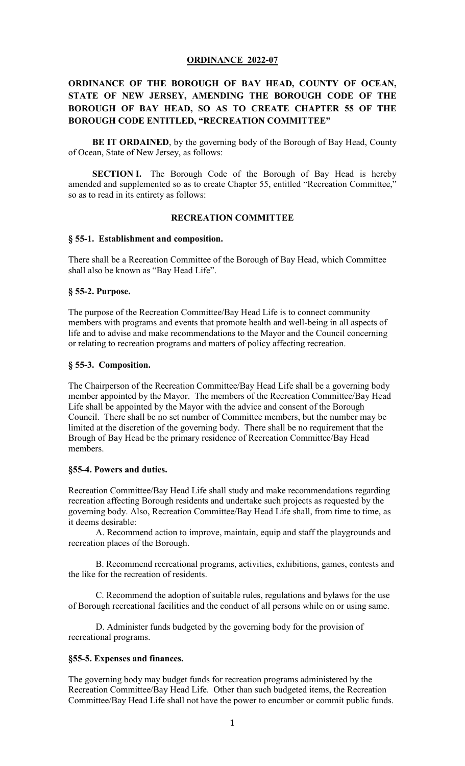# **ORDINANCE 2022-07**

# **ORDINANCE OF THE BOROUGH OF BAY HEAD, COUNTY OF OCEAN, STATE OF NEW JERSEY, AMENDING THE BOROUGH CODE OF THE BOROUGH OF BAY HEAD, SO AS TO CREATE CHAPTER 55 OF THE BOROUGH CODE ENTITLED, "RECREATION COMMITTEE"**

**BE IT ORDAINED**, by the governing body of the Borough of Bay Head, County of Ocean, State of New Jersey, as follows:

**SECTION I.** The Borough Code of the Borough of Bay Head is hereby amended and supplemented so as to create Chapter 55, entitled "Recreation Committee," so as to read in its entirety as follows:

## **RECREATION COMMITTEE**

#### **§ 55-1. Establishment and composition.**

There shall be a Recreation Committee of the Borough of Bay Head, which Committee shall also be known as "Bay Head Life".

## **§ 55-2. Purpose.**

The purpose of the Recreation Committee/Bay Head Life is to connect community members with programs and events that promote health and well-being in all aspects of life and to advise and make recommendations to the Mayor and the Council concerning or relating to recreation programs and matters of policy affecting recreation.

### **§ 55-3. Composition.**

The Chairperson of the Recreation Committee/Bay Head Life shall be a governing body member appointed by the Mayor. The members of the Recreation Committee/Bay Head Life shall be appointed by the Mayor with the advice and consent of the Borough Council. There shall be no set number of Committee members, but the number may be limited at the discretion of the governing body. There shall be no requirement that the Brough of Bay Head be the primary residence of Recreation Committee/Bay Head members.

#### **§55-4. Powers and duties.**

Recreation Committee/Bay Head Life shall study and make recommendations regarding recreation affecting Borough residents and undertake such projects as requested by the governing body. Also, Recreation Committee/Bay Head Life shall, from time to time, as it deems desirable:

A. Recommend action to improve, maintain, equip and staff the playgrounds and recreation places of the Borough.

B. Recommend recreational programs, activities, exhibitions, games, contests and the like for the recreation of residents.

C. Recommend the adoption of suitable rules, regulations and bylaws for the use of Borough recreational facilities and the conduct of all persons while on or using same.

D. Administer funds budgeted by the governing body for the provision of recreational programs.

#### **§55-5. Expenses and finances.**

The governing body may budget funds for recreation programs administered by the Recreation Committee/Bay Head Life. Other than such budgeted items, the Recreation Committee/Bay Head Life shall not have the power to encumber or commit public funds.